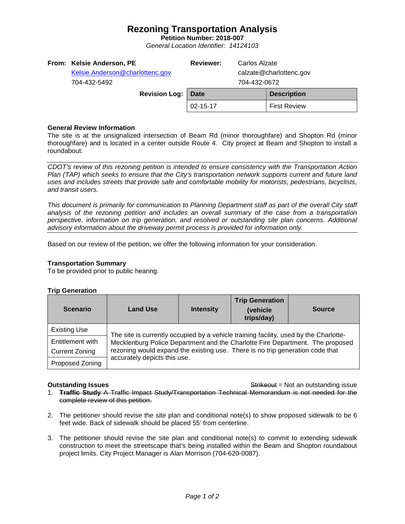# **Rezoning Transportation Analysis**

**Petition Number: 2018-007** *General Location Identifier: 14124103*

| From: Kelsie Anderson, PE<br>Kelsie.Anderson@charlottenc.gov<br>704-432-5492 | <b>Reviewer:</b> | Carlos Alzate<br>calzate@charlottenc.gov<br>704-432-0672 |                     |
|------------------------------------------------------------------------------|------------------|----------------------------------------------------------|---------------------|
| <b>Revision Log:</b>                                                         | Date             |                                                          | <b>Description</b>  |
|                                                                              | 02-15-17         |                                                          | <b>First Review</b> |
|                                                                              |                  |                                                          |                     |

### **General Review Information**

The site is at the unsignalized intersection of Beam Rd (minor thoroughfare) and Shopton Rd (minor thoroughfare) and is located in a center outside Route 4. City project at Beam and Shopton to install a roundabout.

*CDOT's review of this rezoning petition is intended to ensure consistency with the Transportation Action Plan (TAP) which seeks to ensure that the City's transportation network supports current and future land uses and includes streets that provide safe and comfortable mobility for motorists, pedestrians, bicyclists, and transit users.*

*This document is primarily for communication to Planning Department staff as part of the overall City staff analysis of the rezoning petition and includes an overall summary of the case from a transportation perspective, information on trip generation, and resolved or outstanding site plan concerns. Additional advisory information about the driveway permit process is provided for information only.*

Based on our review of the petition, we offer the following information for your consideration.

### **Transportation Summary**

To be provided prior to public hearing.

#### **Trip Generation**

| <b>Scenario</b>       | <b>Land Use</b>                                                                                                                                                                                                                                                                         | <b>Intensity</b> | <b>Trip Generation</b><br>(vehicle<br>trips/day) | <b>Source</b> |  |  |
|-----------------------|-----------------------------------------------------------------------------------------------------------------------------------------------------------------------------------------------------------------------------------------------------------------------------------------|------------------|--------------------------------------------------|---------------|--|--|
| <b>Existing Use</b>   | The site is currently occupied by a vehicle training facility, used by the Charlotte-<br>Mecklenburg Police Department and the Charlotte Fire Department. The proposed<br>rezoning would expand the existing use. There is no trip generation code that<br>accurately depicts this use. |                  |                                                  |               |  |  |
| Entitlement with      |                                                                                                                                                                                                                                                                                         |                  |                                                  |               |  |  |
| <b>Current Zoning</b> |                                                                                                                                                                                                                                                                                         |                  |                                                  |               |  |  |
| Proposed Zoning       |                                                                                                                                                                                                                                                                                         |                  |                                                  |               |  |  |

**Outstanding Issues Container and Strike Example 20 and Strike Container and Strike Outstanding issue** 

- 1. **Traffic Study** A Traffic Impact Study/Transportation Technical Memorandum is not needed for the complete review of this petition.
- 2. The petitioner should revise the site plan and conditional note(s) to show proposed sidewalk to be 6 feet wide. Back of sidewalk should be placed 55' from centerline.
- 3. The petitioner should revise the site plan and conditional note(s) to commit to extending sidewalk construction to meet the streetscape that's being installed within the Beam and Shopton roundabout project limits. City Project Manager is Alan Morrison (704-620-0087).